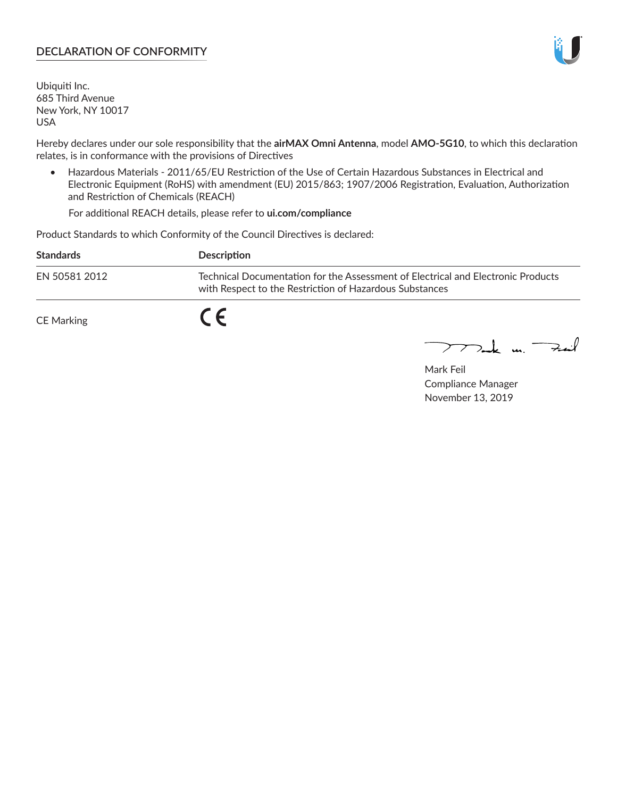### **DECLARATION OF CONFORMITY**

Ubiquiti Inc. 685 Third Avenue New York, NY 10017 USA

Hereby declares under our sole responsibility that the **airMAX Omni Antenna**, model **AMO-5G10**, to which this declaration relates, is in conformance with the provisions of Directives

• Hazardous Materials - 2011/65/EU Restriction of the Use of Certain Hazardous Substances in Electrical and Electronic Equipment (RoHS) with amendment (EU) 2015/863; 1907/2006 Registration, Evaluation, Authorization and Restriction of Chemicals (REACH)

For additional REACH details, please refer to **ui.com/compliance**

Product Standards to which Conformity of the Council Directives is declared:

| <b>Standards</b> | <b>Description</b>                                                                                                                          |
|------------------|---------------------------------------------------------------------------------------------------------------------------------------------|
| EN 50581 2012    | Technical Documentation for the Assessment of Electrical and Electronic Products<br>with Respect to the Restriction of Hazardous Substances |
| CE Marking       |                                                                                                                                             |

 $\sum_{n=1}^{\infty}$  un  $\sum_{n=1}^{\infty}$ 

Mark Feil Compliance Manager November 13, 2019

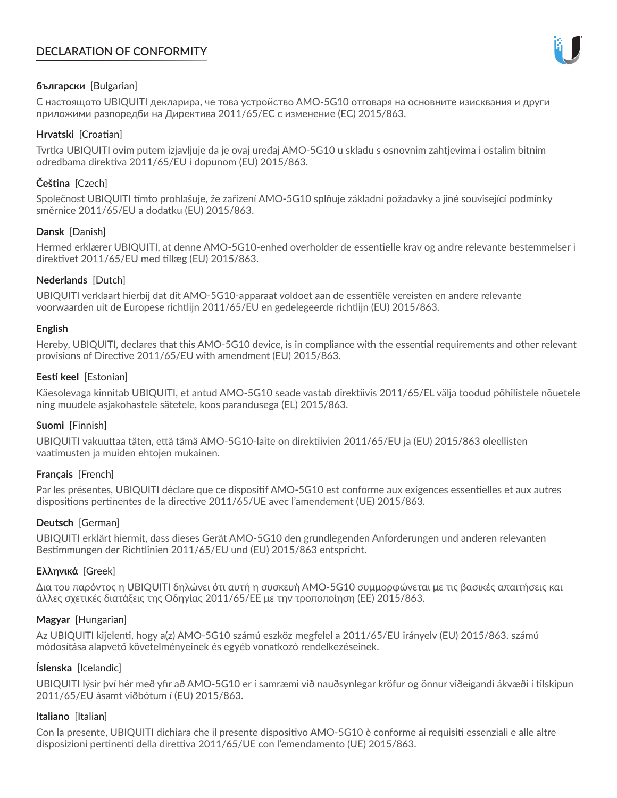# **DECLARATION OF CONFORMITY**



## **български** [Bulgarian]

С настоящото UBIQUITI декларира, че това устройство AMO-5G10 отговаря на основните изисквания и други приложими разпоредби на Директива 2011/65/ЕС с изменение (ЕС) 2015/863.

## **Hrvatski** [Croatian]

Tvrtka UBIQUITI ovim putem izjavljuje da je ovaj uređaj AMO-5G10 u skladu s osnovnim zahtjevima i ostalim bitnim odredbama direktiva 2011/65/EU i dopunom (EU) 2015/863.

# **Čeština** [Czech]

Společnost UBIQUITI tímto prohlašuje, že zařízení AMO-5G10 splňuje základní požadavky a jiné související podmínky směrnice 2011/65/EU a dodatku (EU) 2015/863.

### **Dansk** [Danish]

Hermed erklærer UBIQUITI, at denne AMO-5G10-enhed overholder de essentielle krav og andre relevante bestemmelser i direktivet 2011/65/EU med tillæg (EU) 2015/863.

### **Nederlands** [Dutch]

UBIQUITI verklaart hierbij dat dit AMO-5G10-apparaat voldoet aan de essentiële vereisten en andere relevante voorwaarden uit de Europese richtlijn 2011/65/EU en gedelegeerde richtlijn (EU) 2015/863.

#### **English**

Hereby, UBIQUITI, declares that this AMO-5G10 device, is in compliance with the essential requirements and other relevant provisions of Directive 2011/65/EU with amendment (EU) 2015/863.

### **Eesti keel** [Estonian]

Käesolevaga kinnitab UBIQUITI, et antud AMO-5G10 seade vastab direktiivis 2011/65/EL välja toodud põhilistele nõuetele ning muudele asjakohastele sätetele, koos parandusega (EL) 2015/863.

## **Suomi** [Finnish]

UBIQUITI vakuuttaa täten, että tämä AMO-5G10-laite on direktiivien 2011/65/EU ja (EU) 2015/863 oleellisten vaatimusten ja muiden ehtojen mukainen.

#### **Français** [French]

Par les présentes, UBIQUITI déclare que ce dispositif AMO-5G10 est conforme aux exigences essentielles et aux autres dispositions pertinentes de la directive 2011/65/UE avec l'amendement (UE) 2015/863.

## **Deutsch** [German]

UBIQUITI erklärt hiermit, dass dieses Gerät AMO-5G10 den grundlegenden Anforderungen und anderen relevanten Bestimmungen der Richtlinien 2011/65/EU und (EU) 2015/863 entspricht.

#### **Ελληνικά** [Greek]

Δια του παρόντος η UBIQUITI δηλώνει ότι αυτή η συσκευή AMO-5G10 συμμορφώνεται με τις βασικές απαιτήσεις και άλλες σχετικές διατάξεις της Οδηγίας 2011/65/ΕΕ με την τροποποίηση (ΕΕ) 2015/863.

## **Magyar** [Hungarian]

Az UBIQUITI kijelenti, hogy a(z) AMO-5G10 számú eszköz megfelel a 2011/65/EU irányelv (EU) 2015/863. számú módosítása alapvető követelményeinek és egyéb vonatkozó rendelkezéseinek.

#### **Íslenska** [Icelandic]

UBIQUITI lýsir því hér með yfir að AMO-5G10 er í samræmi við nauðsynlegar kröfur og önnur viðeigandi ákvæði í tilskipun 2011/65/EU ásamt viðbótum í (EU) 2015/863.

#### **Italiano** [Italian]

Con la presente, UBIQUITI dichiara che il presente dispositivo AMO-5G10 è conforme ai requisiti essenziali e alle altre disposizioni pertinenti della direttiva 2011/65/UE con l'emendamento (UE) 2015/863.